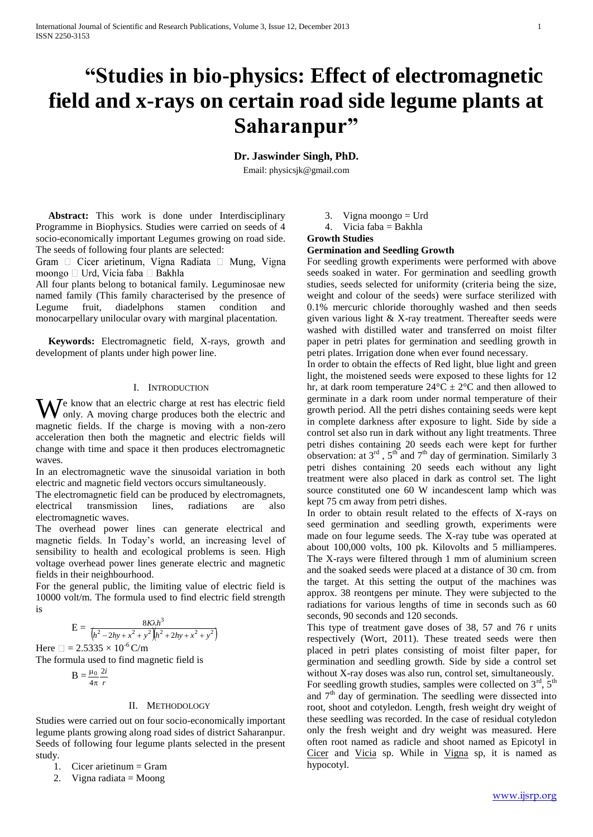# **"Studies in bio-physics: Effect of electromagnetic field and x-rays on certain road side legume plants at Saharanpur"**

## **Dr. Jaswinder Singh, PhD.**

Email[: physicsjk@gmail.com](mailto:physicsjk@gmail.com)

 **Abstract:** This work is done under Interdisciplinary Programme in Biophysics. Studies were carried on seeds of 4 socio-economically important Legumes growing on road side. The seeds of following four plants are selected:

Gram  $\Box$  Cicer arietinum, Vigna Radiata  $\Box$  Mung, Vigna moongo □ Urd, Vicia faba □ Bakhla

All four plants belong to botanical family. Leguminosae new named family (This family characterised by the presence of Legume fruit, diadelphons stamen condition and monocarpellary unilocular ovary with marginal placentation.

 **Keywords:** Electromagnetic field, X-rays, growth and development of plants under high power line.

#### I. INTRODUCTION

 $\mathcal{I}$ e know that an electric charge at rest has electric field only. A moving charge produces both the electric and magnetic fields. If the charge is moving with a non-zero acceleration then both the magnetic and electric fields will change with time and space it then produces electromagnetic waves. W

In an electromagnetic wave the sinusoidal variation in both electric and magnetic field vectors occurs simultaneously.

The electromagnetic field can be produced by electromagnets, electrical transmission lines, radiations are also electromagnetic waves.

The overhead power lines can generate electrical and magnetic fields. In Today's world, an increasing level of sensibility to health and ecological problems is seen. High voltage overhead power lines generate electric and magnetic fields in their neighbourhood.

For the general public, the limiting value of electric field is 10000 volt/m. The formula used to find electric field strength is

$$
E = \frac{8K\lambda h^3}{\left(h^2 - 2hy + x^2 + y^2\right)\left(h^2 + 2hy + x^2 + y^2\right)}
$$

Here  $\Box = 2.5335 \times 10^{-6}$  C/m The formula used to find magnetic field is

$$
B = \frac{\mu_0}{4\pi} \frac{2i}{r}
$$

#### II. METHODOLOGY

Studies were carried out on four socio-economically important legume plants growing along road sides of district Saharanpur. Seeds of following four legume plants selected in the present study.

1. Cicer arietinum = Gram

2. Vigna radiata = Moong

3. Vigna moongo = Urd

#### 4. Vicia faba = Bakhla **Growth Studies**

## **Germination and Seedling Growth**

For seedling growth experiments were performed with above seeds soaked in water. For germination and seedling growth studies, seeds selected for uniformity (criteria being the size, weight and colour of the seeds) were surface sterilized with 0.1% mercuric chloride thoroughly washed and then seeds given various light & X-ray treatment. Thereafter seeds were washed with distilled water and transferred on moist filter paper in petri plates for germination and seedling growth in petri plates. Irrigation done when ever found necessary.

In order to obtain the effects of Red light, blue light and green light, the moistened seeds were exposed to these lights for 12 hr, at dark room temperature  $24^{\circ}$ C  $\pm$  2°C and then allowed to germinate in a dark room under normal temperature of their growth period. All the petri dishes containing seeds were kept in complete darkness after exposure to light. Side by side a control set also run in dark without any light treatments. Three petri dishes containing 20 seeds each were kept for further observation: at  $3^{rd}$ ,  $5^{th}$  and  $7^{th}$  day of germination. Similarly 3 petri dishes containing 20 seeds each without any light treatment were also placed in dark as control set. The light source constituted one 60 W incandescent lamp which was kept 75 cm away from petri dishes.

In order to obtain result related to the effects of X-rays on seed germination and seedling growth, experiments were made on four legume seeds. The X-ray tube was operated at about 100,000 volts, 100 pk. Kilovolts and 5 milliamperes. The X-rays were filtered through 1 mm of aluminium screen and the soaked seeds were placed at a distance of 30 cm. from the target. At this setting the output of the machines was approx. 38 reontgens per minute. They were subjected to the radiations for various lengths of time in seconds such as 60 seconds, 90 seconds and 120 seconds.

This type of treatment gave doses of 38, 57 and 76 r units respectively (Wort, 2011). These treated seeds were then placed in petri plates consisting of moist filter paper, for germination and seedling growth. Side by side a control set without X-ray doses was also run, control set, simultaneously. For seedling growth studies, samples were collected on  $3<sup>rd</sup>$ ,  $5<sup>th</sup>$ and  $7<sup>th</sup>$  day of germination. The seedling were dissected into root, shoot and cotyledon. Length, fresh weight dry weight of these seedling was recorded. In the case of residual cotyledon only the fresh weight and dry weight was measured. Here often root named as radicle and shoot named as Epicotyl in Cicer and Vicia sp. While in Vigna sp, it is named as hypocotyl.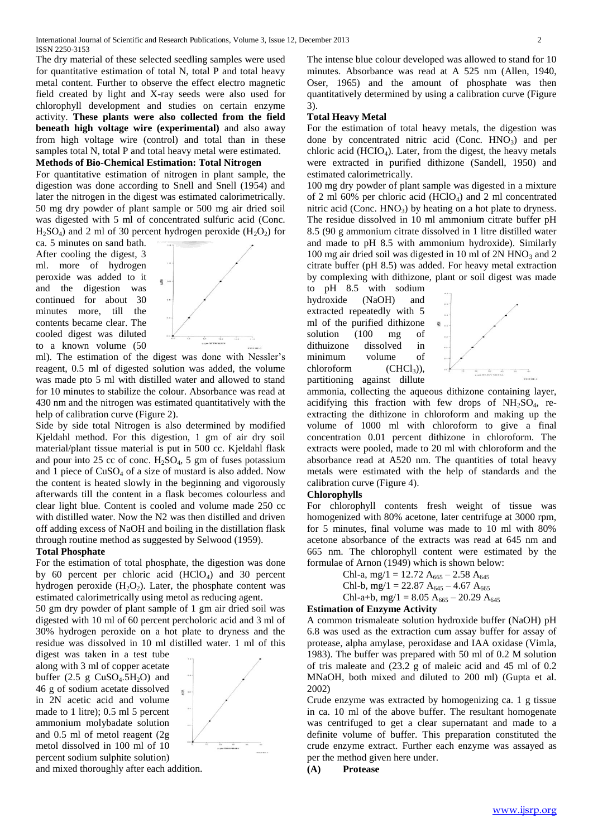The dry material of these selected seedling samples were used for quantitative estimation of total N, total P and total heavy metal content. Further to observe the effect electro magnetic field created by light and X-ray seeds were also used for chlorophyll development and studies on certain enzyme activity. **These plants were also collected from the field beneath high voltage wire (experimental)** and also away from high voltage wire (control) and total than in these samples total N, total P and total heavy metal were estimated.

#### **Methods of Bio-Chemical Estimation: Total Nitrogen**

For quantitative estimation of nitrogen in plant sample, the digestion was done according to Snell and Snell (1954) and later the nitrogen in the digest was estimated calorimetrically. 50 mg dry powder of plant sample or 500 mg air dried soil was digested with 5 ml of concentrated sulfuric acid (Conc.  $H_2SO_4$ ) and 2 ml of 30 percent hydrogen peroxide  $(H_2O_2)$  for

ca. 5 minutes on sand bath. After cooling the digest, 3 ml. more of hydrogen peroxide was added to it and the digestion was continued for about 30 minutes more, till the contents became clear. The cooled digest was diluted to a known volume (50



ml). The estimation of the digest was done with Nessler's reagent, 0.5 ml of digested solution was added, the volume was made pto 5 ml with distilled water and allowed to stand for 10 minutes to stabilize the colour. Absorbance was read at 430 nm and the nitrogen was estimated quantitatively with the help of calibration curve (Figure 2).

Side by side total Nitrogen is also determined by modified Kjeldahl method. For this digestion, 1 gm of air dry soil material/plant tissue material is put in 500 cc. Kjeldahl flask and pour into 25 cc of conc.  $H_2SO_4$ , 5 gm of fuses potassium and 1 piece of  $CuSO<sub>4</sub>$  of a size of mustard is also added. Now the content is heated slowly in the beginning and vigorously afterwards till the content in a flask becomes colourless and clear light blue. Content is cooled and volume made 250 cc with distilled water. Now the N2 was then distilled and driven off adding excess of NaOH and boiling in the distillation flask through routine method as suggested by Selwood (1959).

## **Total Phosphate**

For the estimation of total phosphate, the digestion was done by 60 percent per chloric acid  $(HClO<sub>4</sub>)$  and 30 percent hydrogen peroxide  $(H_2O_2)$ . Later, the phosphate content was estimated calorimetrically using metol as reducing agent.

50 gm dry powder of plant sample of 1 gm air dried soil was digested with 10 ml of 60 percent percholoric acid and 3 ml of 30% hydrogen peroxide on a hot plate to dryness and the residue was dissolved in 10 ml distilled water. 1 ml of this

digest was taken in a test tube along with 3 ml of copper acetate buffer  $(2.5 \text{ g } CuSO_4.5H_2O)$  and 46 g of sodium acetate dissolved in 2N acetic acid and volume made to 1 litre); 0.5 ml 5 percent ammonium molybadate solution and 0.5 ml of metol reagent (2g metol dissolved in 100 ml of 10 percent sodium sulphite solution)



and mixed thoroughly after each addition.

The intense blue colour developed was allowed to stand for 10 minutes. Absorbance was read at A 525 nm (Allen, 1940, Oser, 1965) and the amount of phosphate was then quantitatively determined by using a calibration curve (Figure 3).

#### **Total Heavy Metal**

For the estimation of total heavy metals, the digestion was done by concentrated nitric acid (Conc.  $HNO<sub>3</sub>$ ) and per chloric acid  $(HCIO<sub>4</sub>)$ . Later, from the digest, the heavy metals were extracted in purified dithizone (Sandell, 1950) and estimated calorimetrically.

100 mg dry powder of plant sample was digested in a mixture of 2 ml 60% per chloric acid (HClO4) and 2 ml concentrated nitric acid (Conc.  $HNO<sub>3</sub>$ ) by heating on a hot plate to dryness. The residue dissolved in 10 ml ammonium citrate buffer pH 8.5 (90 g ammonium citrate dissolved in 1 litre distilled water and made to pH 8.5 with ammonium hydroxide). Similarly 100 mg air dried soil was digested in 10 ml of  $2N HNO<sub>3</sub>$  and  $2$ citrate buffer (pH 8.5) was added. For heavy metal extraction by complexing with dithizone, plant or soil digest was made

to pH 8.5 with sodium hydroxide (NaOH) and extracted repeatedly with 5 ml of the purified dithizone solution (100 mg of dithuizone dissolved in minimum volume of  $chloroform$   $(CHCl<sub>3</sub>)$ ), partitioning against dillute



ammonia, collecting the aqueous dithizone containing layer, acidifying this fraction with few drops of  $NH<sub>2</sub>SO<sub>4</sub>$ , reextracting the dithizone in chloroform and making up the volume of 1000 ml with chloroform to give a final concentration 0.01 percent dithizone in chloroform. The extracts were pooled, made to 20 ml with chloroform and the absorbance read at A520 nm. The quantities of total heavy metals were estimated with the help of standards and the calibration curve (Figure 4).

#### **Chlorophylls**

For chlorophyll contents fresh weight of tissue was homogenized with 80% acetone, later centrifuge at 3000 rpm, for 5 minutes, final volume was made to 10 ml with 80% acetone absorbance of the extracts was read at 645 nm and 665 nm. The chlorophyll content were estimated by the formulae of Arnon (1949) which is shown below:

> Chl-a, mg/1 = 12.72 A<sub>665</sub> – 2.58 A<sub>645</sub> Chl-b, mg/1 = 22.87  $A_{645} - 4.67 A_{665}$ Chl-a+b, mg/1 = 8.05 A<sub>665</sub> – 20.29 A<sub>645</sub>

## **Estimation of Enzyme Activity**

A common trismaleate solution hydroxide buffer (NaOH) pH 6.8 was used as the extraction cum assay buffer for assay of protease, alpha amylase, peroxidase and IAA oxidase (Vimla, 1983). The buffer was prepared with 50 ml of 0.2 M solution of tris maleate and (23.2 g of maleic acid and 45 ml of 0.2 MNaOH, both mixed and diluted to 200 ml) (Gupta et al. 2002)

Crude enzyme was extracted by homogenizing ca. 1 g tissue in ca. 10 ml of the above buffer. The resultant homogenate was centrifuged to get a clear supernatant and made to a definite volume of buffer. This preparation constituted the crude enzyme extract. Further each enzyme was assayed as per the method given here under.

**(A) Protease**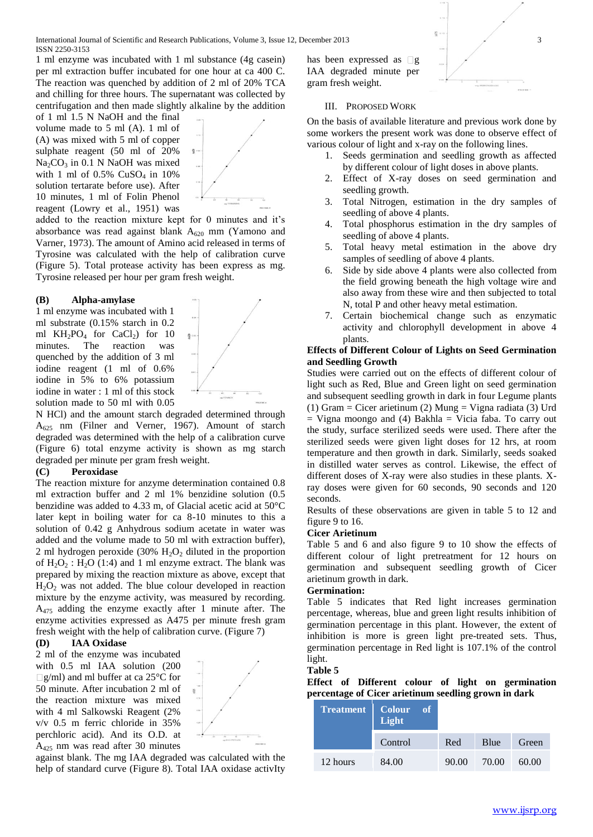International Journal of Scientific and Research Publications, Volume 3, Issue 12, December 2013 3 ISSN 2250-3153

1 ml enzyme was incubated with 1 ml substance (4g casein) per ml extraction buffer incubated for one hour at ca 400 C. The reaction was quenched by addition of 2 ml of 20% TCA and chilling for three hours. The supernatant was collected by centrifugation and then made slightly alkaline by the addition

of 1 ml 1.5 N NaOH and the final volume made to 5 ml (A). 1 ml of (A) was mixed with 5 ml of copper sulphate reagent (50 ml of 20%  $Na<sub>2</sub>CO<sub>3</sub>$  in 0.1 N NaOH was mixed with 1 ml of  $0.5\%$  CuSO<sub>4</sub> in 10% solution tertarate before use). After 10 minutes, 1 ml of Folin Phenol reagent (Lowry et al., 1951) was

added to the reaction mixture kept for 0 minutes and it's absorbance was read against blank  $A_{620}$  mm (Yamono and Varner, 1973). The amount of Amino acid released in terms of Tyrosine was calculated with the help of calibration curve (Figure 5). Total protease activity has been express as mg. Tyrosine released per hour per gram fresh weight.

#### **(B) Alpha-amylase**

1 ml enzyme was incubated with 1 ml substrate (0.15% starch in 0.2 ml  $KH_2PO_4$  for CaCl<sub>2</sub>) for 10 minutes. The reaction was quenched by the addition of 3 ml iodine reagent (1 ml of 0.6% iodine in 5% to 6% potassium iodine in water : 1 ml of this stock solution made to 50 ml with 0.05

N HCl) and the amount starch degraded determined through A<sup>625</sup> nm (Filner and Verner, 1967). Amount of starch degraded was determined with the help of a calibration curve (Figure 6) total enzyme activity is shown as mg starch degraded per minute per gram fresh weight.

#### **(C) Peroxidase**

The reaction mixture for anzyme determination contained 0.8 ml extraction buffer and 2 ml 1% benzidine solution (0.5 benzidine was added to 4.33 m, of Glacial acetic acid at 50°C later kept in boiling water for ca 8-10 minutes to this a solution of 0.42 g Anhydrous sodium acetate in water was added and the volume made to 50 ml with extraction buffer), 2 ml hydrogen peroxide  $(30\% \text{ H}_2\text{O}_2)$  diluted in the proportion of  $H_2O_2$ :  $H_2O$  (1:4) and 1 ml enzyme extract. The blank was prepared by mixing the reaction mixture as above, except that  $H<sub>2</sub>O<sub>2</sub>$  was not added. The blue colour developed in reaction mixture by the enzyme activity, was measured by recording. A<sup>475</sup> adding the enzyme exactly after 1 minute after. The enzyme activities expressed as A475 per minute fresh gram fresh weight with the help of calibration curve. (Figure 7)

#### **(D) IAA Oxidase**

2 ml of the enzyme was incubated with 0.5 ml IAA solution (200  $\Box$ g/ml) and ml buffer at ca 25<sup>o</sup>C for 50 minute. After incubation 2 ml of the reaction mixture was mixed with 4 ml Salkowski Reagent (2% v/v 0.5 m ferric chloride in 35% perchloric acid). And its O.D. at A<sup>425</sup> nm was read after 30 minutes



against blank. The mg IAA degraded was calculated with the help of standard curve (Figure 8). Total IAA oxidase activIty has been expressed as  $\Box$ g IAA degraded minute per gram fresh weight.



#### III. PROPOSED WORK

On the basis of available literature and previous work done by some workers the present work was done to observe effect of various colour of light and x-ray on the following lines.

- 1. Seeds germination and seedling growth as affected by different colour of light doses in above plants.
- 2. Effect of X-ray doses on seed germination and seedling growth.
- 3. Total Nitrogen, estimation in the dry samples of seedling of above 4 plants.
- 4. Total phosphorus estimation in the dry samples of seedling of above 4 plants.
- 5. Total heavy metal estimation in the above dry samples of seedling of above 4 plants.
- Side by side above 4 plants were also collected from the field growing beneath the high voltage wire and also away from these wire and then subjected to total N, total P and other heavy metal estimation.
- 7. Certain biochemical change such as enzymatic activity and chlorophyll development in above 4 plants.

#### **Effects of Different Colour of Lights on Seed Germination and Seedling Growth**

Studies were carried out on the effects of different colour of light such as Red, Blue and Green light on seed germination and subsequent seedling growth in dark in four Legume plants (1) Gram = Cicer arietinum (2) Mung = Vigna radiata (3) Urd  $=$  Vigna moongo and (4) Bakhla  $=$  Vicia faba. To carry out the study, surface sterilized seeds were used. There after the sterilized seeds were given light doses for 12 hrs, at room temperature and then growth in dark. Similarly, seeds soaked in distilled water serves as control. Likewise, the effect of different doses of X-ray were also studies in these plants. Xray doses were given for 60 seconds, 90 seconds and 120 seconds.

Results of these observations are given in table 5 to 12 and figure 9 to 16.

#### **Cicer Arietinum**

Table 5 and 6 and also figure 9 to 10 show the effects of different colour of light pretreatment for 12 hours on germination and subsequent seedling growth of Cicer arietinum growth in dark.

#### **Germination:**

Table 5 indicates that Red light increases germination percentage, whereas, blue and green light results inhibition of germination percentage in this plant. However, the extent of inhibition is more is green light pre-treated sets. Thus, germination percentage in Red light is 107.1% of the control light.

#### **Table 5**

**Effect of Different colour of light on germination percentage of Cicer arietinum seedling grown in dark**

| Treatment | $\overline{\text{Color}}$ of<br>Light |       |       |       |
|-----------|---------------------------------------|-------|-------|-------|
|           | Control                               | Red   | Blue  | Green |
| 12 hours  | 84.00                                 | 90.00 | 70.00 | 60.00 |

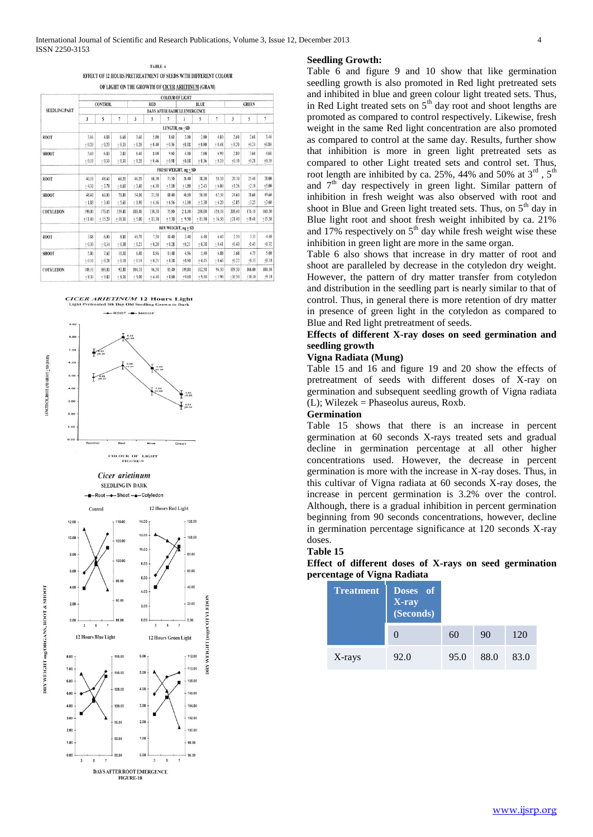TABLE 6 EFFECT OF 12 HOURS PRETREATMENT OF SEEDS WITH DIFFERENT COLOUR OF LIGHT ON THE GROWTH OF CICER ARIETINUM (GRAM)

|                      |                |                |              |                |            |                | <b>COLOUR OF LIGHT</b>              |          |          |                                                                                                                                     |              |                |
|----------------------|----------------|----------------|--------------|----------------|------------|----------------|-------------------------------------|----------|----------|-------------------------------------------------------------------------------------------------------------------------------------|--------------|----------------|
|                      |                | <b>CONTROL</b> |              |                | <b>RED</b> |                |                                     | BLUE     |          | $\mathbf{3}$<br>2.60<br>$+0.20$<br>2.80<br>$+0.10$<br>20.10<br>$+1.26$<br>24.60<br>$+2.85$<br>208.40<br>$+21.40$<br>2.50<br>$+0.40$ | <b>GREEN</b> |                |
| <b>SEEDLING PART</b> |                |                |              |                |            |                | <b>DAYS AFTER RADICLE EMERGENCE</b> |          |          |                                                                                                                                     |              |                |
|                      | $\mathfrak{z}$ | 5              | $\mathbf{1}$ | $\overline{3}$ | 5          | 7              | $\overline{\mathbf{3}}$             | 5        | 7        |                                                                                                                                     | 5            | $\overline{1}$ |
|                      |                |                |              |                |            | LENGTH, cm +SD |                                     |          |          |                                                                                                                                     |              |                |
| <b>ROOT</b>          | 3.46           | 4.88           | 6.68         | 3.60           | 5.80       | 8.60           | 3.00                                | 3.80     | 4.80     |                                                                                                                                     | 2.68         | 3.40           |
|                      | $+0.20$        | $+0.20$        | $+0.30$      | $+0.26$        | $+0.40$    | $+0.36$        | $+0.08$                             | $+0.80$  | $+0.48$  |                                                                                                                                     | $+0.24$      | $+0.80$        |
| <b>SHOOT</b>         | 5.40           | 6.80           | 7.80         | 6.40           | 8.00       | 9.60           | 4.00                                | 5.60     | 6.90     |                                                                                                                                     | 3.60         | 4.68           |
|                      | $+0.10$        | $+0.30$        | $+0.30$      | $+0.20$        | $+0.46$    | $+0.98$        | $+0.08$                             | $+0.36$  | $+0.30$  |                                                                                                                                     | $+0.28$      | $+0.30$        |
|                      |                |                |              |                |            |                | FRESH WEIGHT, mg + SD               |          |          |                                                                                                                                     |              |                |
| <b>ROOT</b>          | 40.10          | 48.60          | 60.20        | 46.20          | 60.30      | 71.50          | 20.40                               | 38.20    | 50.30    |                                                                                                                                     | 25.40        | 38.00          |
|                      | $+430$         | $+3.78$        | $+6.60$      | $+3.40$        | $+6.10$    | $+5.00$        | $+1.80$                             | $+2.43$  | $+6.00$  |                                                                                                                                     | $+2.10$      | $+5.00$        |
| <b>SHOOT</b>         | 48.40          | 60.00          | 70.80        | 54.00          | 71.50      | 88.40          | 40.00                               | 50.10    | 67.50    |                                                                                                                                     | 38.60        | 49.60          |
|                      | $+1.80$        | $+3.40$        | $+5.60$      | $+1.90$        | $+4.16$    | $+6.56$        | $+3.10$                             | $+5.30$  | $+6.20$  |                                                                                                                                     | $+3.25$      | $+3.60$        |
| <b>COTYLEDON</b>     | 198.00         | 170.45         | 159.40       | 188.40         | 130.30     | 75.80          | 218.10                              | 200.00   | 150.10   |                                                                                                                                     | 176.10       | 160.50         |
|                      | $+11.40$       | $+15.20$       | $+16.50$     | $+5.00$        | $+13.30$   | $+5.30$        | $+19.50$                            | $+15.10$ | $+16.50$ |                                                                                                                                     | $+18.40$     | $+15.50$       |
|                      |                |                |              |                |            |                | DRY WEIGHT, mg + SD                 |          |          |                                                                                                                                     |              |                |
| ROOT                 | 3.88           | 6.00           | 8.80         | 40.70          | 7.50       | 10.40          | 3.40                                | 4.40     | 6.40     |                                                                                                                                     | 3.35         | 4.40           |
|                      | $+0.30$        | $+0.34$        | $+0.38$      | $+0.21$        | $+0.20$    | $+0.28$        | $+0.21$                             | $+0.38$  | $+0.41$  |                                                                                                                                     | $+0.45$      | $+0.32$        |
| <b>SHOOT</b>         | 5.80           | 7.60           | 10.50        | 6.40           | 8.96       | 11.48          | 4.96                                | 5.40     | 6.88     | 3.68                                                                                                                                | 4.75         | 5.00           |
|                      | $+0.10$        | $+0.28$        | $+0.18$      | $+0.19$        | $+0.21$    | $+0.38$        | $+0.90$                             | $+0.45$  | $+0.60$  | $+0.22$                                                                                                                             | $+0.15$      | $+0.10$        |
| <b>COTYLEDON</b>     | 108.10         | 100.00         | 92.80        | 104.10         | 96.50      | 85.40          | 109.80                              | 102.50   | 96.50    | 109.50                                                                                                                              | 106.00       | 100.50         |
|                      | $+8.30$        | $+9.80$        | $+8.30$      | $+9.00$        | $+6.40$    | $+8.80$        | $+9.60$                             | $+9.10$  | $+1.90$  | $+10.50$                                                                                                                            | $+10.10$     | $+9.10$        |

# **CICER ARIETINUM 12 Hours Light**<br>Light Pretreated 5th Day Old Seedling Grown in Dark



COLOUR OF LIGHT

Cicer arietinum SEEDLING IN DARK



DRY WEIGHT mg/ORGANS, ROOT & SHOOT

#### **Seedling Growth:**

Table 6 and figure 9 and 10 show that like germination seedling growth is also promoted in Red light pretreated sets and inhibited in blue and green colour light treated sets. Thus, in Red Light treated sets on  $5<sup>th</sup>$  day root and shoot lengths are promoted as compared to control respectively. Likewise, fresh weight in the same Red light concentration are also promoted as compared to control at the same day. Results, further show that inhibition is more in green light pretreated sets as compared to other Light treated sets and control set. Thus, root length are inhibited by ca. 25%, 44% and 50% at  $3<sup>rd</sup>$ ,  $5<sup>th</sup>$ and 7<sup>th</sup> day respectively in green light. Similar pattern of inhibition in fresh weight was also observed with root and shoot in Blue and Green light treated sets. Thus, on  $5<sup>th</sup>$  day in Blue light root and shoot fresh weight inhibited by ca. 21% and  $17\%$  respectively on  $5<sup>th</sup>$  day while fresh weight wise these inhibition in green light are more in the same organ.

Table 6 also shows that increase in dry matter of root and shoot are paralleled by decrease in the cotyledon dry weight. However, the pattern of dry matter transfer from cotyledon and distribution in the seedling part is nearly similar to that of control. Thus, in general there is more retention of dry matter in presence of green light in the cotyledon as compared to Blue and Red light pretreatment of seeds.

#### **Effects of different X-ray doses on seed germination and seedling growth**

#### **Vigna Radiata (Mung)**

Table 15 and 16 and figure 19 and 20 show the effects of pretreatment of seeds with different doses of X-ray on germination and subsequent seedling growth of Vigna radiata (L); Wilezek = Phaseolus aureus, Roxb.

#### **Germination**

Table 15 shows that there is an increase in percent germination at 60 seconds X-rays treated sets and gradual decline in germination percentage at all other higher concentrations used. However, the decrease in percent germination is more with the increase in X-ray doses. Thus, in this cultivar of Vigna radiata at 60 seconds X-ray doses, the increase in percent germination is 3.2% over the control. Although, there is a gradual inhibition in percent germination beginning from 90 seconds concentrations, however, decline in germination percentage significance at 120 seconds X-ray doses.

#### **Table 15**

**Effect of different doses of X-rays on seed germination percentage of Vigna Radiata** 

| <b>Treatment</b> | Doses of<br>X-ray<br>(Seconds) |      |      |      |
|------------------|--------------------------------|------|------|------|
|                  |                                | 60   | 90   | 120  |
| X-rays           | 92.0                           | 95.0 | 88.0 | 83.0 |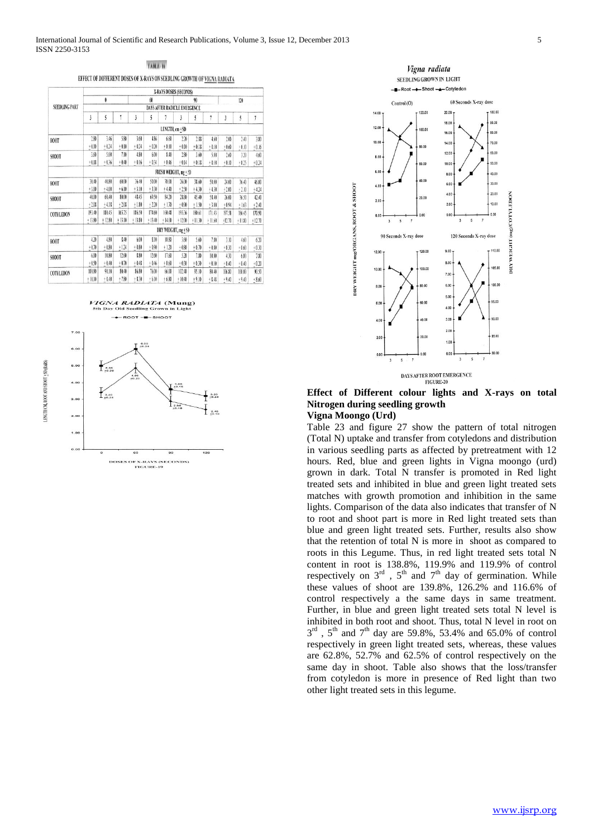TABLE 16

EFFECT OF DIFFERENT DOSES OF X-RAYS ON SEEDLING GROWTH OF VIGNA RADIATA

|                      |          |          |          |          |          |                | X-RAYS DOSES (SECONDS)       |          |                |          |          |          |
|----------------------|----------|----------|----------|----------|----------|----------------|------------------------------|----------|----------------|----------|----------|----------|
|                      |          | 0        |          |          | 60       |                |                              | 90       |                |          | 120      |          |
| <b>SEEDLING PART</b> |          |          |          |          |          |                | DAYS AFTER RADICLE EMERGENCE |          |                |          |          |          |
|                      | ĵ        | 5        | 1        | 3        | 5        | 1              | 3                            | 5        | $\overline{1}$ | 3        | 5        |          |
|                      |          |          |          |          |          | LENGTH, em +SD |                              |          |                |          |          |          |
| ROOT                 | 2.80     | 3.46     | 5.80     | 3.60     | 4.86     | 6.60           | 2.20                         | 2.88     | 4.60           | 2.00     | 2.40     | 3.80     |
|                      | $+0.10$  | $+0.24$  | $+0.10$  | $+0.24$  | $+0.20$  | $+0.10$        | $+0.10$                      | $+0.18$  | $+0.10$        | $+0.60$  | $+0.10$  | $+0.16$  |
| SHOOT                | 3.60     | 5.00     | 7.10     | 4.80     | 6.00     | 8.40           | 2.80                         | 3.60     | 5.00           | 2.60     | 3.20     | 4.60     |
|                      | $+0.18$  | $+0.36$  | $+0.40$  | $+0.16$  | $+0.34$  | $+0.46$        | $+0.14$                      | $+0.18$  | $+0.10$        | $+0.10$  | $+0.25$  | $+0.24$  |
|                      |          |          |          |          |          |                | FRESH WEIGHT, mg + SD        |          |                |          |          |          |
| ROOT                 | 30.40    | 40.80    | 60.00    | 36.40    | 50.00    | 70.00          | 26.00                        | 38.60    | 50.00          | 24.00    | 36.40    | 46.00    |
|                      | $+3.00$  | $+4.00$  | $+6.10$  | $+3.10$  | $+3.30$  | $+4.40$        | $+2.50$                      | $+430$   | $+4.30$        | $+2.00$  | $+2.10$  | $+4.24$  |
| SHOOT                | 40.00    | 60.40    | 80.00    | 48.45    | 69.50    | 84.20          | 28.80                        | 45.40    | 58.40          | 26.00    | 36.50    | 42.40    |
|                      | $+2.08$  | $+4.18$  | $+2.08$  | $+1.80$  | $+220$   | $+1.70$        | $+0.90$                      | $+1.50$  | $+3.00$        | $+0.94$  | $+1.63$  | $+2.40$  |
| <b>COTYLEDON</b>     | 193.40   | 180.45   | 165.75   | 186.50   | 174.60   | 160.48         | 195.36                       | 180.61   | 171.43         | 197.58   | 186.45   | 170.90   |
|                      | $+13.80$ | $+12.80$ | $+13.10$ | $+13.80$ | $+13.40$ | $+14.00$       | $+12.00$                     | $+11.30$ | $+11.60$       | $+12.70$ | $+11.80$ | $+12.70$ |
|                      |          |          |          |          |          |                | DRY WEIGHT, mg + SD          |          |                |          |          |          |
| ROOT                 | 4.20     | 4.80     | 8.40     | 6.00     | 8.10     | 10.80          | 3.60                         | 5.60     | 7.80           | 3.10     | 4.60     | 6.20     |
|                      | $+0.70$  | $+0.80$  | $+124$   | $+0.80$  | $+0.90$  | $+1.20$        | $+0.80$                      | $+0.70$  | $+0.80$        | $+0.30$  | $+0.60$  | $+0.30$  |
| SHOOT                | 6.00     | 10.80    | 12.60    | 8.80     | 12.60    | 17.60          | 5.20                         | 7.80     | 10.00          | 430      | 6.00     | 7.80     |
|                      | 0.50     | $+0.40$  | $+0.70$  | $+0.48$  | $+0.46$  | $+0.60$        | $+0.30$                      | $+0.30$  | $+0.10$        | $+0.40$  | $+0.40$  | $+0.20$  |
| <b>COTYLEDON</b>     | 100.80   | 90.10    | \$0,40   | 86.80    | 76.00    | 66.00          | 102.40                       | 95.10    | \$0.40         | 106.80   | 100.00   | 90.50    |
|                      | $+10.10$ | $+ 8.40$ | $+7.80$  | $+8.30$  | $+6.10$  | $+6.80$        | $+10.40$                     | $+9.10$  | $+8.48$        | $+9.40$  | $+9.40$  | $+8.60$  |





**Effect of Different colour lights and X-rays on total Nitrogen during seedling growth**

#### **Vigna Moongo (Urd)**

Table 23 and figure 27 show the pattern of total nitrogen (Total N) uptake and transfer from cotyledons and distribution in various seedling parts as affected by pretreatment with 12 hours. Red, blue and green lights in Vigna moongo (urd) grown in dark. Total N transfer is promoted in Red light treated sets and inhibited in blue and green light treated sets matches with growth promotion and inhibition in the same lights. Comparison of the data also indicates that transfer of N to root and shoot part is more in Red light treated sets than blue and green light treated sets. Further, results also show that the retention of total N is more in shoot as compared to roots in this Legume. Thus, in red light treated sets total N content in root is 138.8%, 119.9% and 119.9% of control respectively on  $3<sup>rd</sup>$ ,  $5<sup>th</sup>$  and  $7<sup>th</sup>$  day of germination. While these values of shoot are 139.8%, 126.2% and 116.6% of control respectively a the same days in same treatment. Further, in blue and green light treated sets total N level is inhibited in both root and shoot. Thus, total N level in root on  $3<sup>rd</sup>$ ,  $5<sup>th</sup>$  and  $7<sup>th</sup>$  day are 59.8%, 53.4% and 65.0% of control respectively in green light treated sets, whereas, these values are 62.8%, 52.7% and 62.5% of control respectively on the same day in shoot. Table also shows that the loss/transfer from cotyledon is more in presence of Red light than two other light treated sets in this legume.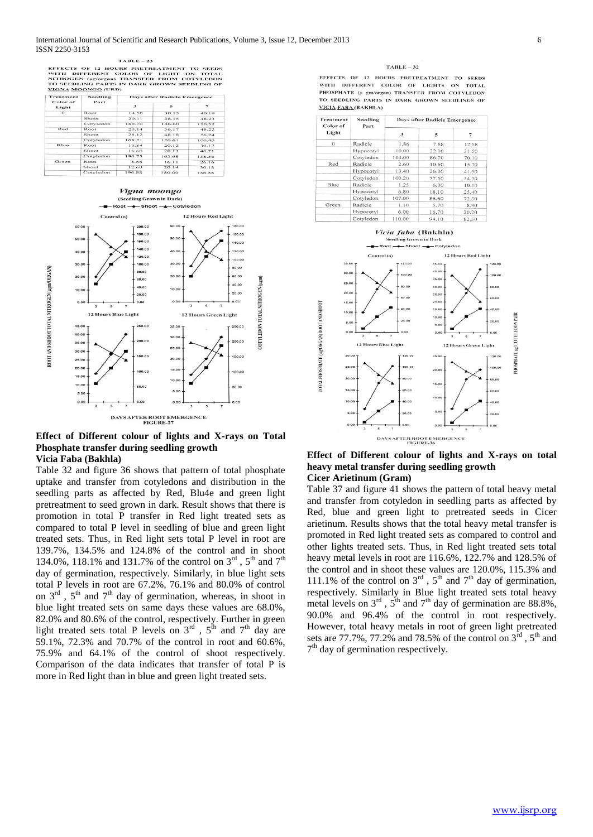#### $TAPLE = 22$

EFFECTS OF 12 HOURS PRETREATMENT TO SEEDS<br>WITH DIFFERENT COLOR OF LIGHT ON TOTAL<br>IT SEEDLING PARTS IN DARSFER FROM COTYLEDON<br>TO SEEDLING PARTS IN DARK GROWN SEEDLING OF<br>YIGNA MOONGO (URD)

| Treatment<br>Color of | Seedling<br>Part | Days after Radicle Emergence |        |                          |  |  |  |  |
|-----------------------|------------------|------------------------------|--------|--------------------------|--|--|--|--|
| Light                 |                  | $\mathbf{3}$                 | 东      | $\overline{\phantom{a}}$ |  |  |  |  |
| $\Omega$              | Root             | 14.50                        | 30.15  | 40.19                    |  |  |  |  |
|                       | Shoot            | 20.11                        | 38.15  | 48.23                    |  |  |  |  |
|                       | Cotyledon        | 180.70                       | 146.60 | 120.52                   |  |  |  |  |
| Red                   | Root             | 20.14                        | 36.17  | 48.22                    |  |  |  |  |
|                       | Shoot            | 28.12                        | 48.18  | 56.24                    |  |  |  |  |
|                       | Cotyledon        | 168.71                       | 120.61 | 100.40                   |  |  |  |  |
| Blue                  | Root             | 10.84                        | 20.12  | 30.17                    |  |  |  |  |
|                       | Shoot            | 16.68                        | 28.13  | 40.21                    |  |  |  |  |
|                       | Cotyledon        | 190.75                       | 162.68 | 138.56                   |  |  |  |  |
| Green                 | Root             | 8.68                         | 16.11  | 26.16                    |  |  |  |  |
|                       | Shoot            | 12.60                        | 20.14  | 30.18                    |  |  |  |  |
|                       | Cotyledon        | 196.88                       | 180.00 | 156.58                   |  |  |  |  |



#### **Effect of Different colour of lights and X-rays on Total Phosphate transfer during seedling growth Vicia Faba (Bakhla)**

Table 32 and figure 36 shows that pattern of total phosphate uptake and transfer from cotyledons and distribution in the seedling parts as affected by Red, Blu4e and green light pretreatment to seed grown in dark. Result shows that there is promotion in total P transfer in Red light treated sets as compared to total P level in seedling of blue and green light treated sets. Thus, in Red light sets total P level in root are 139.7%, 134.5% and 124.8% of the control and in shoot 134.0%, 118.1% and 131.7% of the control on  $3^{rd}$ ,  $5^{th}$  and  $7^{th}$ day of germination, respectively. Similarly, in blue light sets total P levels in root are 67.2%, 76.1% and 80.0% of control on  $3<sup>rd</sup>$ ,  $5<sup>th</sup>$  and  $7<sup>th</sup>$  day of germination, whereas, in shoot in blue light treated sets on same days these values are 68.0%, 82.0% and 80.6% of the control, respectively. Further in green light treated sets total P levels on  $3^{rd}$ ,  $5^{th}$  and  $7^{th}$  day are 59.1%, 72.3% and 70.7% of the control in root and 60.6%, 75.9% and 64.1% of the control of shoot respectively. Comparison of the data indicates that transfer of total P is more in Red light than in blue and green light treated sets.

#### $TABLE-32$

EFFECTS OF 12 HOURS PRETREATMENT TO SEEDS WITH DIFFERENT COLOR OF LICHTS ON TOTAL PHOSPHATE (µ gm/organ) TRANSFER FROM COTYLEDON TO SEEDLING PARTS IN DARK GROWN SEEDLINGS OF VICIA FABA (BAKHLA)

| Treatment<br>Color of | Seedling<br>Part | Days after Radicle Emergence |       |       |  |  |  |
|-----------------------|------------------|------------------------------|-------|-------|--|--|--|
| Light                 |                  | 3                            | 5     | 7     |  |  |  |
| $\Omega$              | Radicle          | 1.86                         | 7.88  | 12.58 |  |  |  |
|                       | Hypocotyl        | 10.00                        | 22.00 | 31.50 |  |  |  |
|                       | Cotyledon        | 104.00                       | 86.70 | 70.10 |  |  |  |
| Red                   | Radicle          | 2.60                         | 10.60 | 15.70 |  |  |  |
|                       | Hypocotyl        | 13.40                        | 26.00 | 41.50 |  |  |  |
|                       | Cotyledon        | 100.20                       | 77.50 | 54.30 |  |  |  |
| Blue                  | Radicle          | 1.25                         | 6.00  | 10.10 |  |  |  |
|                       | Hypocotyl        | 6.80                         | 18.10 | 25.40 |  |  |  |
|                       | Cotyledon        | 107.00                       | 86.60 | 72.30 |  |  |  |
| Green                 | Radicle          | 1.10                         | 5.70  | 8.90  |  |  |  |
|                       | Hypocotyl        | 6.00                         | 16.70 | 20.20 |  |  |  |
|                       | $C$ on the down  | 0.0111                       | 0.410 | 0770  |  |  |  |



#### **Effect of Different colour of lights and X-rays on total heavy metal transfer during seedling growth Cicer Arietinum (Gram)**

Table 37 and figure 41 shows the pattern of total heavy metal and transfer from cotyledon in seedling parts as affected by Red, blue and green light to pretreated seeds in Cicer arietinum. Results shows that the total heavy metal transfer is promoted in Red light treated sets as compared to control and other lights treated sets. Thus, in Red light treated sets total heavy metal levels in root are 116.6%, 122.7% and 128.5% of the control and in shoot these values are 120.0%, 115.3% and 111.1% of the control on  $3^{rd}$ ,  $5^{th}$  and  $7^{th}$  day of germination, respectively. Similarly in Blue light treated sets total heavy metal levels on  $3<sup>rd</sup>$ ,  $5<sup>th</sup>$  and  $7<sup>th</sup>$  day of germination are 88.8%, 90.0% and 96.4% of the control in root respectively. However, total heavy metals in root of green light pretreated sets are 77.7%, 77.2% and 78.5% of the control on  $3^{\text{rd}}$ ,  $5^{\text{th}}$  and 7<sup>th</sup> day of germination respectively.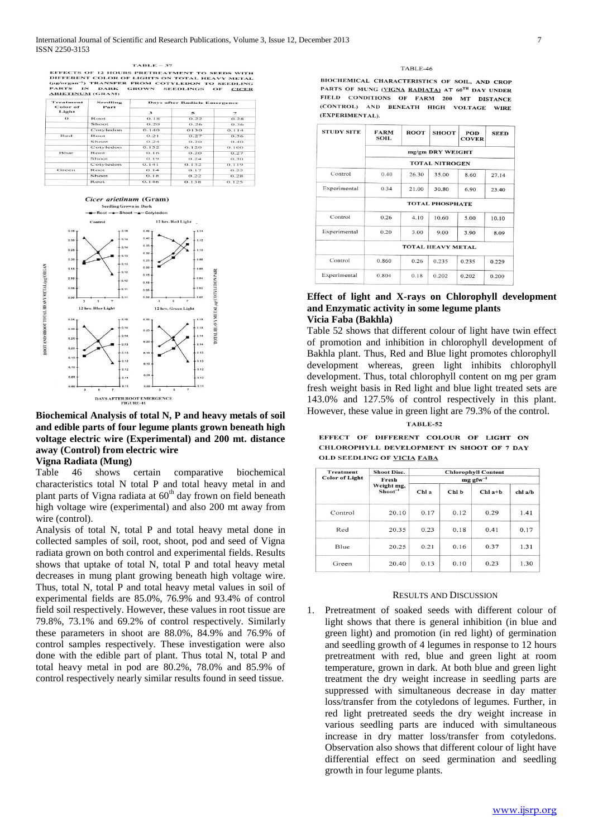#### $TABLE - 37$

TABLE - 37<br>
DIFFERENT COLOR OF LIGHTS ON TOTAL HEAVY METAL<br>
(Hg/organ") TRANSFER FROM COTYLEDON TO SEEDLING<br>
(Hg/organ") TRANSFER FROM COTYLEDON TO SEEDLING<br>
ARIETINUM (GRAM)<br>
ARIETINUM (GRAM)

| Treatment<br>Color of | Seedling<br>Part | <b>Days after Radicle Emergence</b> |       |                          |  |  |  |  |
|-----------------------|------------------|-------------------------------------|-------|--------------------------|--|--|--|--|
| Light                 |                  | $\mathbf{B}$                        | 5     | $\overline{\phantom{a}}$ |  |  |  |  |
| $\Omega$              | Root             | O.18                                | 0.22  | 0.28                     |  |  |  |  |
|                       | Shoot            | O.2O                                | 0.26  | 0.36                     |  |  |  |  |
|                       | Cotyledon        | 0.140                               | 0130  | 0.114                    |  |  |  |  |
| Red                   | Root             | 0.21                                | 0.27  | 0.36                     |  |  |  |  |
|                       | Shoot            | 0.24                                | 0.30  | O.4O                     |  |  |  |  |
|                       | Cotyledon        | 0.132                               | 0.120 | O.100                    |  |  |  |  |
| Blue                  | <b>Root</b>      | 0.16                                | 0.20  | 0.27                     |  |  |  |  |
|                       | Shoot            | 0.19                                | 0.24  | 0.30                     |  |  |  |  |
|                       | Cotyledon        | O.141                               | 0.132 | 0.119                    |  |  |  |  |
| Green                 | Root             | O.14                                | O.17  | 0.22                     |  |  |  |  |
|                       | Shoot            | O.18                                | 0.22  | 0.28                     |  |  |  |  |
|                       | Root             | 0.146                               | 0.138 | 0.125                    |  |  |  |  |



**Biochemical Analysis of total N, P and heavy metals of soil and edible parts of four legume plants grown beneath high voltage electric wire (Experimental) and 200 mt. distance away (Control) from electric wire**

## **Vigna Radiata (Mung)**

Table 46 shows certain comparative biochemical characteristics total N total P and total heavy metal in and plant parts of Vigna radiata at 60<sup>th</sup> day frown on field beneath high voltage wire (experimental) and also 200 mt away from wire (control).

Analysis of total N, total P and total heavy metal done in collected samples of soil, root, shoot, pod and seed of Vigna radiata grown on both control and experimental fields. Results shows that uptake of total N, total P and total heavy metal decreases in mung plant growing beneath high voltage wire. Thus, total N, total P and total heavy metal values in soil of experimental fields are 85.0%, 76.9% and 93.4% of control field soil respectively. However, these values in root tissue are 79.8%, 73.1% and 69.2% of control respectively. Similarly these parameters in shoot are 88.0%, 84.9% and 76.9% of control samples respectively. These investigation were also done with the edible part of plant. Thus total N, total P and total heavy metal in pod are 80.2%, 78.0% and 85.9% of control respectively nearly similar results found in seed tissue.

#### $TARIF-46$

BIOCHEMICAL CHARACTERISTICS OF SOIL, AND CROP PARTS OF MUNG (VIGNA RADIATA) AT 60TH DAY UNDER FIELD CONDITIONS OF FARM 200 MT DISTANCE (CONTROL) AND BENEATH HIGH VOLTAGE WIRE (EXPERIMENTAL).

| <b>STUDY SITE</b> | <b>FARM</b><br><b>SOIL</b> | <b>ROOT</b> | <b>SHOOT</b>          | POD<br><b>COVER</b> | <b>SEED</b> |  |  |  |  |
|-------------------|----------------------------|-------------|-----------------------|---------------------|-------------|--|--|--|--|
|                   | mg/gm DRY WEIGHT           |             |                       |                     |             |  |  |  |  |
|                   |                            |             | <b>TOTAL NITROGEN</b> |                     |             |  |  |  |  |
| Control           | 0.40                       | 26.30       | 35.00                 | 8.60                | 27.14       |  |  |  |  |
| Experimental      | 0.34                       | 21.00       | 30.80                 | 6.90                | 23.40       |  |  |  |  |
|                   | <b>TOTAL PHOSPHATE</b>     |             |                       |                     |             |  |  |  |  |
| Control           | 0.26                       | 4.10        | 10.60                 | 5.00                | 10.10       |  |  |  |  |
| Experimental      | 0.20                       | 3.00        | 9.00                  | 3.90                | 8.09        |  |  |  |  |
|                   | <b>TOTAL HEAVY METAL</b>   |             |                       |                     |             |  |  |  |  |
| Control           | 0.860                      | 0.26        | 0.235                 | 0.235               | 0.229       |  |  |  |  |
| Experimental      | 0.804                      | 0.18        | 0.202                 | 0.202               | 0.200       |  |  |  |  |

#### **Effect of light and X-rays on Chlorophyll development and Enzymatic activity in some legume plants Vicia Faba (Bakhla)**

Table 52 shows that different colour of light have twin effect of promotion and inhibition in chlorophyll development of Bakhla plant. Thus, Red and Blue light promotes chlorophyll development whereas, green light inhibits chlorophyll development. Thus, total chlorophyll content on mg per gram fresh weight basis in Red light and blue light treated sets are 143.0% and 127.5% of control respectively in this plant. However, these value in green light are 79.3% of the control.

#### **TABLE-52**

EFFECT OF DIFFERENT COLOUR OF LIGHT ON CHLOROPHYLL DEVELOPMENT IN SHOOT OF 7 DAY **OLD SEEDLING OF VICIA FABA** 

| <b>Treatment</b>      | <b>Shoot Disc.</b>      |                        |       | <b>Chlorophyll Content</b> |         |  |  |  |
|-----------------------|-------------------------|------------------------|-------|----------------------------|---------|--|--|--|
| <b>Color of Light</b> | Fresh                   | $mg$ gfw <sup>-1</sup> |       |                            |         |  |  |  |
|                       | Weight mg,<br>$Short-1$ | Chl a                  | Chl b | $Chl$ a+ $h$               | chl a/b |  |  |  |
| Control               | 20.10                   | 0.17                   | 0.12  | 0.29                       | 1.41    |  |  |  |
| Red                   | 20.35                   | 0.23                   | 0.18  | 0.41                       | 0.17    |  |  |  |
| Blue                  | 20.25                   | 0.21                   | 0.16  | 0.37                       | 1.31    |  |  |  |
| Green                 | 20.40                   | 0.13                   | 0.10  | 0.23                       | 1.30    |  |  |  |

#### RESULTS AND DISCUSSION

1. Pretreatment of soaked seeds with different colour of light shows that there is general inhibition (in blue and green light) and promotion (in red light) of germination and seedling growth of 4 legumes in response to 12 hours pretreatment with red, blue and green light at room temperature, grown in dark. At both blue and green light treatment the dry weight increase in seedling parts are suppressed with simultaneous decrease in day matter loss/transfer from the cotyledons of legumes. Further, in red light pretreated seeds the dry weight increase in various seedling parts are induced with simultaneous increase in dry matter loss/transfer from cotyledons. Observation also shows that different colour of light have differential effect on seed germination and seedling growth in four legume plants.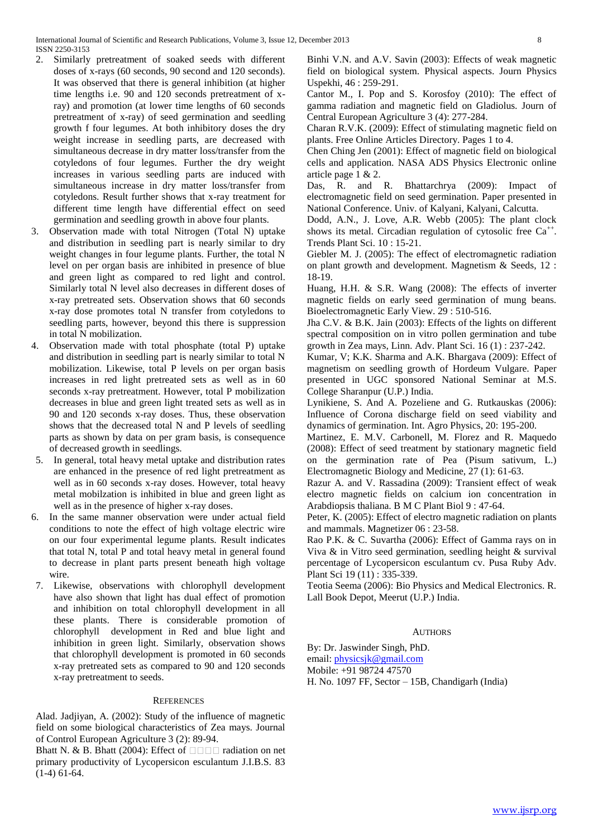- 2. Similarly pretreatment of soaked seeds with different doses of x-rays (60 seconds, 90 second and 120 seconds). It was observed that there is general inhibition (at higher time lengths i.e. 90 and 120 seconds pretreatment of xray) and promotion (at lower time lengths of 60 seconds pretreatment of x-ray) of seed germination and seedling growth f four legumes. At both inhibitory doses the dry weight increase in seedling parts, are decreased with simultaneous decrease in dry matter loss/transfer from the cotyledons of four legumes. Further the dry weight increases in various seedling parts are induced with simultaneous increase in dry matter loss/transfer from cotyledons. Result further shows that x-ray treatment for different time length have differential effect on seed germination and seedling growth in above four plants.
- 3. Observation made with total Nitrogen (Total N) uptake and distribution in seedling part is nearly similar to dry weight changes in four legume plants. Further, the total N level on per organ basis are inhibited in presence of blue and green light as compared to red light and control. Similarly total N level also decreases in different doses of x-ray pretreated sets. Observation shows that 60 seconds x-ray dose promotes total N transfer from cotyledons to seedling parts, however, beyond this there is suppression in total N mobilization.
- 4. Observation made with total phosphate (total P) uptake and distribution in seedling part is nearly similar to total N mobilization. Likewise, total P levels on per organ basis increases in red light pretreated sets as well as in 60 seconds x-ray pretreatment. However, total P mobilization decreases in blue and green light treated sets as well as in 90 and 120 seconds x-ray doses. Thus, these observation shows that the decreased total N and P levels of seedling parts as shown by data on per gram basis, is consequence of decreased growth in seedlings.
- 5. In general, total heavy metal uptake and distribution rates are enhanced in the presence of red light pretreatment as well as in 60 seconds x-ray doses. However, total heavy metal mobilzation is inhibited in blue and green light as well as in the presence of higher x-ray doses.
- 6. In the same manner observation were under actual field conditions to note the effect of high voltage electric wire on our four experimental legume plants. Result indicates that total N, total P and total heavy metal in general found to decrease in plant parts present beneath high voltage wire.
- 7. Likewise, observations with chlorophyll development have also shown that light has dual effect of promotion and inhibition on total chlorophyll development in all these plants. There is considerable promotion of chlorophyll development in Red and blue light and inhibition in green light. Similarly, observation shows that chlorophyll development is promoted in 60 seconds x-ray pretreated sets as compared to 90 and 120 seconds x-ray pretreatment to seeds.

## **REFERENCES**

Alad. Jadjiyan, A. (2002): Study of the influence of magnetic field on some biological characteristics of Zea mays. Journal of Control European Agriculture 3 (2): 89-94.

Bhatt N. & B. Bhatt (2004): Effect of  $\Box$   $\Box$  adiation on net primary productivity of Lycopersicon esculantum J.I.B.S. 83 (1-4) 61-64.

Binhi V.N. and A.V. Savin (2003): Effects of weak magnetic field on biological system. Physical aspects. Journ Physics Uspekhi, 46 : 259-291.

Cantor M., I. Pop and S. Korosfoy (2010): The effect of gamma radiation and magnetic field on Gladiolus. Journ of Central European Agriculture 3 (4): 277-284.

Charan R.V.K. (2009): Effect of stimulating magnetic field on plants. Free Online Articles Directory. Pages 1 to 4.

Chen Ching Jen (2001): Effect of magnetic field on biological cells and application. NASA ADS Physics Electronic online article page 1 & 2.

Das, R. and R. Bhattarchrya (2009): Impact of electromagnetic field on seed germination. Paper presented in National Conference. Univ. of Kalyani, Kalyani, Calcutta.

Dodd, A.N., J. Love, A.R. Webb (2005): The plant clock shows its metal. Circadian regulation of cytosolic free  $Ca^{++}$ . Trends Plant Sci. 10 : 15-21.

Giebler M. J. (2005): The effect of electromagnetic radiation on plant growth and development. Magnetism & Seeds, 12 : 18-19.

Huang, H.H. & S.R. Wang (2008): The effects of inverter magnetic fields on early seed germination of mung beans. Bioelectromagnetic Early View. 29 : 510-516.

Jha C.V. & B.K. Jain (2003): Effects of the lights on different spectral composition on in vitro pollen germination and tube growth in Zea mays, Linn. Adv. Plant Sci. 16 (1) : 237-242.

Kumar, V; K.K. Sharma and A.K. Bhargava (2009): Effect of magnetism on seedling growth of Hordeum Vulgare. Paper presented in UGC sponsored National Seminar at M.S. College Sharanpur (U.P.) India.

Lynikiene, S. And A. Pozeliene and G. Rutkauskas (2006): Influence of Corona discharge field on seed viability and dynamics of germination. Int. Agro Physics, 20: 195-200.

Martinez, E. M.V. Carbonell, M. Florez and R. Maquedo (2008): Effect of seed treatment by stationary magnetic field on the germination rate of Pea (Pisum sativum, L.) Electromagnetic Biology and Medicine, 27 (1): 61-63.

Razur A. and V. Rassadina (2009): Transient effect of weak electro magnetic fields on calcium ion concentration in Arabdiopsis thaliana. B M C Plant Biol 9 : 47-64.

Peter, K. (2005): Effect of electro magnetic radiation on plants and mammals. Magnetizer 06 : 23-58.

Rao P.K. & C. Suvartha (2006): Effect of Gamma rays on in Viva & in Vitro seed germination, seedling height & survival percentage of Lycopersicon esculantum cv. Pusa Ruby Adv. Plant Sci 19 (11) : 335-339.

Teotia Seema (2006): Bio Physics and Medical Electronics. R. Lall Book Depot, Meerut (U.P.) India.

## AUTHORS

By: Dr. Jaswinder Singh, PhD.

email: [physicsjk@gmail.com](mailto:physicsjk@gmail.com)

Mobile: +91 98724 47570

H. No. 1097 FF, Sector – 15B, Chandigarh (India)